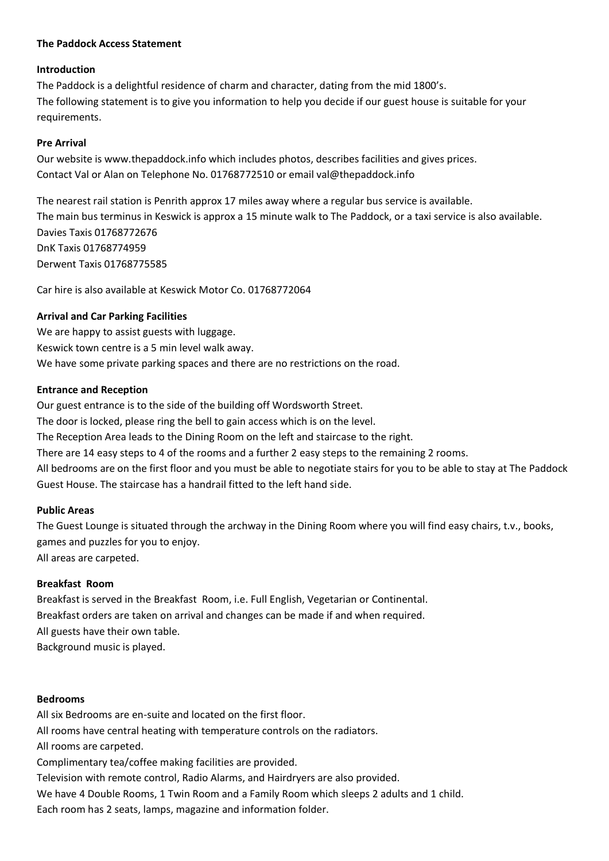## **The Paddock Access Statement**

# **Introduction**

The Paddock is a delightful residence of charm and character, dating from the mid 1800's. The following statement is to give you information to help you decide if our guest house is suitable for your requirements.

# **Pre Arrival**

Our website is www.thepaddock.info which includes photos, describes facilities and gives prices. Contact Val or Alan on Telephone No. 01768772510 or email val@thepaddock.info

The nearest rail station is Penrith approx 17 miles away where a regular bus service is available. The main bus terminus in Keswick is approx a 15 minute walk to The Paddock, or a taxi service is also available. Davies Taxis 01768772676 DnK Taxis 01768774959 Derwent Taxis 01768775585

Car hire is also available at Keswick Motor Co. 01768772064

# **Arrival and Car Parking Facilities**

We are happy to assist guests with luggage. Keswick town centre is a 5 min level walk away. We have some private parking spaces and there are no restrictions on the road.

# **Entrance and Reception**

Our guest entrance is to the side of the building off Wordsworth Street. The door is locked, please ring the bell to gain access which is on the level. The Reception Area leads to the Dining Room on the left and staircase to the right. There are 14 easy steps to 4 of the rooms and a further 2 easy steps to the remaining 2 rooms. All bedrooms are on the first floor and you must be able to negotiate stairs for you to be able to stay at The Paddock Guest House. The staircase has a handrail fitted to the left hand side.

### **Public Areas**

The Guest Lounge is situated through the archway in the Dining Room where you will find easy chairs, t.v., books, games and puzzles for you to enjoy. All areas are carpeted.

# **Breakfast Room**

Breakfast is served in the Breakfast Room, i.e. Full English, Vegetarian or Continental. Breakfast orders are taken on arrival and changes can be made if and when required. All guests have their own table. Background music is played.

### **Bedrooms**

All six Bedrooms are en-suite and located on the first floor.

All rooms have central heating with temperature controls on the radiators.

All rooms are carpeted.

Complimentary tea/coffee making facilities are provided.

Television with remote control, Radio Alarms, and Hairdryers are also provided.

We have 4 Double Rooms, 1 Twin Room and a Family Room which sleeps 2 adults and 1 child.

Each room has 2 seats, lamps, magazine and information folder.